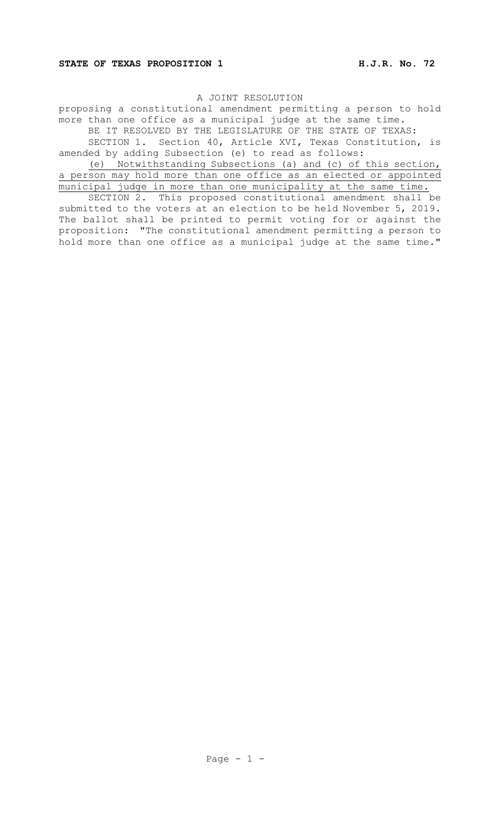proposing a constitutional amendment permitting a person to hold more than one office as a municipal judge at the same time.

BE IT RESOLVED BY THE LEGISLATURE OF THE STATE OF TEXAS:

SECTION 1. Section 40, Article XVI, Texas Constitution, is amended by adding Subsection (e) to read as follows:

(e) Notwithstanding Subsections (a) and (c) of this section, a person may hold more than one office as an elected or appointed municipal judge in more than one municipality at the same time.

SECTION 2. This proposed constitutional amendment shall be submitted to the voters at an election to be held November 5, 2019. The ballot shall be printed to permit voting for or against the proposition: "The constitutional amendment permitting a person to hold more than one office as a municipal judge at the same time."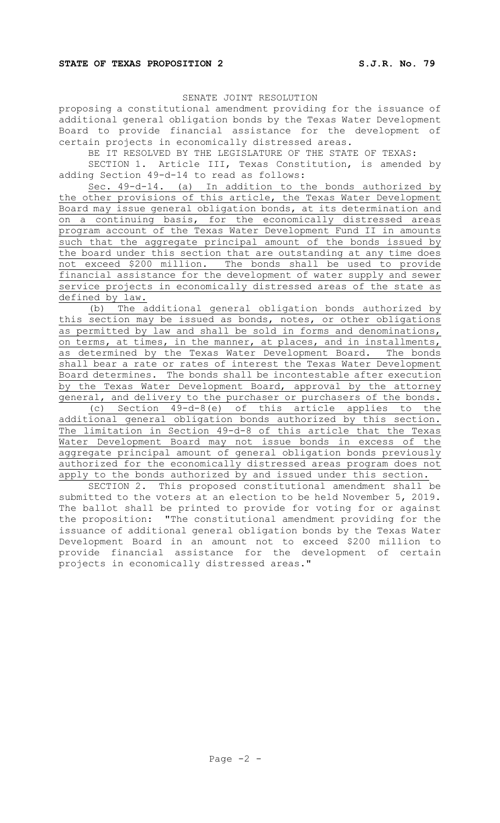SENATE JOINT RESOLUTION

proposing a constitutional amendment providing for the issuance of additional general obligation bonds by the Texas Water Development Board to provide financial assistance for the development of certain projects in economically distressed areas.

BE IT RESOLVED BY THE LEGISLATURE OF THE STATE OF TEXAS:

SECTION 1. Article III, Texas Constitution, is amended by adding Section 49-d-14 to read as follows:

Sec. 49-d-14. (a) In addition to the bonds authorized by the other provisions of this article, the Texas Water Development Board may issue general obligation bonds, at its determination and on a continuing basis, for the economically distressed areas program account of the Texas Water Development Fund II in amounts such that the aggregate principal amount of the bonds issued by the board under this section that are outstanding at any time does not exceed \$200 million. The bonds shall be used to provide financial assistance for the development of water supply and sewer service projects in economically distressed areas of the state as defined by law.

(b) The additional general obligation bonds authorized by this section may be issued as bonds, notes, or other obligations as permitted by law and shall be sold in forms and denominations, on terms, at times, in the manner, at places, and in installments, as determined by the Texas Water Development Board. The bonds shall bear a rate or rates of interest the Texas Water Development Board determines. The bonds shall be incontestable after execution by the Texas Water Development Board, approval by the attorney general, and delivery to the purchaser or purchasers of the bonds.

(c) Section 49-d-8(e) of this article applies to the additional general obligation bonds authorized by this section. The limitation in Section 49-d-8 of this article that the Texas Water Development Board may not issue bonds in excess of the aggregate principal amount of general obligation bonds previously authorized for the economically distressed areas program does not apply to the bonds authorized by and issued under this section.

SECTION 2. This proposed constitutional amendment shall be submitted to the voters at an election to be held November 5, 2019. The ballot shall be printed to provide for voting for or against the proposition: "The constitutional amendment providing for the issuance of additional general obligation bonds by the Texas Water Development Board in an amount not to exceed \$200 million to provide financial assistance for the development of certain projects in economically distressed areas."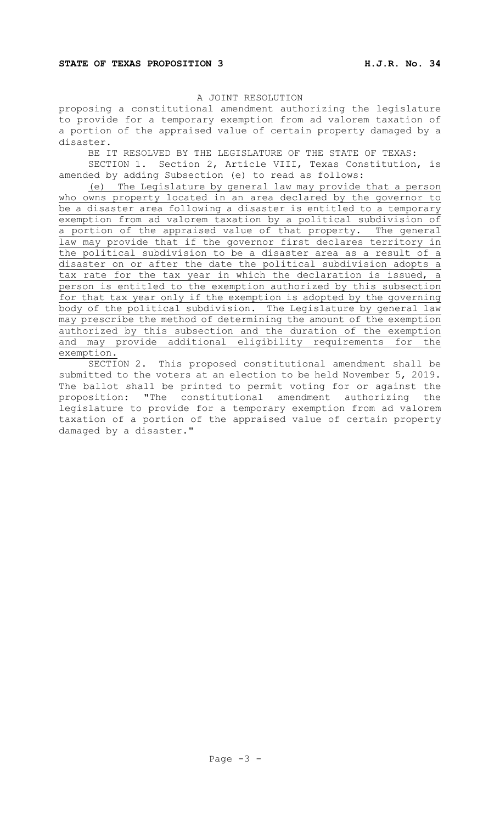proposing a constitutional amendment authorizing the legislature to provide for a temporary exemption from ad valorem taxation of a portion of the appraised value of certain property damaged by a disaster.

BE IT RESOLVED BY THE LEGISLATURE OF THE STATE OF TEXAS:

SECTION 1. Section 2, Article VIII, Texas Constitution, is amended by adding Subsection (e) to read as follows:

(e) The Legislature by general law may provide that a person who owns property located in an area declared by the governor to be a disaster area following a disaster is entitled to a temporary exemption from ad valorem taxation by a political subdivision of a portion of the appraised value of that property. The general law may provide that if the governor first declares territory in the political subdivision to be a disaster area as a result of a disaster on or after the date the political subdivision adopts a tax rate for the tax year in which the declaration is issued, a person is entitled to the exemption authorized by this subsection for that tax year only if the exemption is adopted by the governing body of the political subdivision. The Legislature by general law may prescribe the method of determining the amount of the exemption authorized by this subsection and the duration of the exemption and may provide additional eligibility requirements for the exemption.

SECTION 2. This proposed constitutional amendment shall be submitted to the voters at an election to be held November 5, 2019. The ballot shall be printed to permit voting for or against the proposition: "The constitutional amendment authorizing the legislature to provide for a temporary exemption from ad valorem taxation of a portion of the appraised value of certain property damaged by a disaster."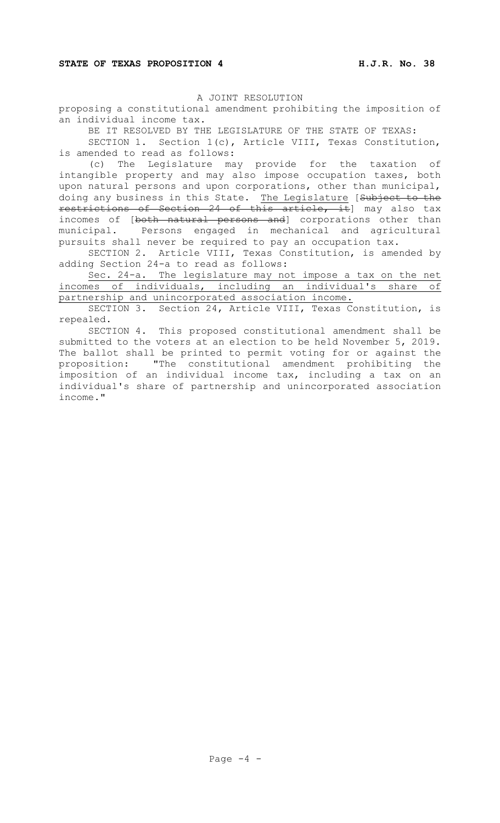proposing a constitutional amendment prohibiting the imposition of an individual income tax.

BE IT RESOLVED BY THE LEGISLATURE OF THE STATE OF TEXAS:

SECTION 1. Section 1(c), Article VIII, Texas Constitution, is amended to read as follows:

(c) The Legislature may provide for the taxation of intangible property and may also impose occupation taxes, both upon natural persons and upon corporations, other than municipal, doing any business in this State. The Legislature [Subject to the restrictions of Section 24 of this article, it] may also tax incomes of [both natural persons and] corporations other than municipal. Persons engaged in mechanical and agricultural pursuits shall never be required to pay an occupation tax.

SECTION 2. Article VIII, Texas Constitution, is amended by adding Section 24-a to read as follows:

Sec. 24-a. The legislature may not impose a tax on the net incomes of individuals, including an individual's share of partnership and unincorporated association income.

SECTION 3. Section 24, Article VIII, Texas Constitution, is repealed.

SECTION 4. This proposed constitutional amendment shall be submitted to the voters at an election to be held November 5, 2019. The ballot shall be printed to permit voting for or against the proposition: "The constitutional amendment prohibiting the imposition of an individual income tax, including a tax on an individual's share of partnership and unincorporated association income."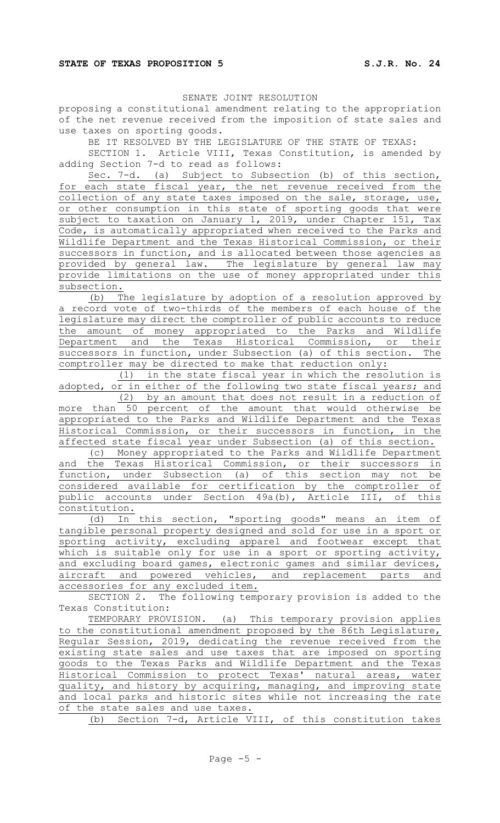SENATE JOINT RESOLUTION

proposing a constitutional amendment relating to the appropriation of the net revenue received from the imposition of state sales and use taxes on sporting goods.

BE IT RESOLVED BY THE LEGISLATURE OF THE STATE OF TEXAS:

SECTION 1. Article VIII, Texas Constitution, is amended by adding Section 7-d to read as follows:

Sec. 7-d. (a) Subject to Subsection (b) of this section, for each state fiscal year, the net revenue received from the collection of any state taxes imposed on the sale, storage, use, or other consumption in this state of sporting goods that were subject to taxation on January 1, 2019, under Chapter 151, Tax Code, is automatically appropriated when received to the Parks and Wildlife Department and the Texas Historical Commission, or their successors in function, and is allocated between those agencies as provided by general law. The legislature by general law may provide limitations on the use of money appropriated under this subsection.

(b) The legislature by adoption of a resolution approved by a record vote of two-thirds of the members of each house of the legislature may direct the comptroller of public accounts to reduce the amount of money appropriated to the Parks and Wildlife Department and the Texas Historical Commission, or their successors in function, under Subsection (a) of this section. The comptroller may be directed to make that reduction only:

(1) in the state fiscal year in which the resolution is adopted, or in either of the following two state fiscal years; and

(2) by an amount that does not result in a reduction of more than 50 percent of the amount that would otherwise be appropriated to the Parks and Wildlife Department and the Texas Historical Commission, or their successors in function, in the affected state fiscal year under Subsection (a) of this section.

(c) Money appropriated to the Parks and Wildlife Department and the Texas Historical Commission, or their successors in function, under Subsection (a) of this section may not be considered available for certification by the comptroller of public accounts under Section 49a(b), Article III, of this constitution.

(d) In this section, "sporting goods" means an item of tangible personal property designed and sold for use in a sport or sporting activity, excluding apparel and footwear except that which is suitable only for use in a sport or sporting activity, and excluding board games, electronic games and similar devices, aircraft and powered vehicles, and replacement parts and accessories for any excluded item.

SECTION 2. The following temporary provision is added to the Texas Constitution:

TEMPORARY PROVISION. (a) This temporary provision applies to the constitutional amendment proposed by the 86th Legislature, Regular Session, 2019, dedicating the revenue received from the existing state sales and use taxes that are imposed on sporting goods to the Texas Parks and Wildlife Department and the Texas Historical Commission to protect Texas' natural areas, water quality, and history by acquiring, managing, and improving state and local parks and historic sites while not increasing the rate of the state sales and use taxes.

(b) Section 7-d, Article VIII, of this constitution takes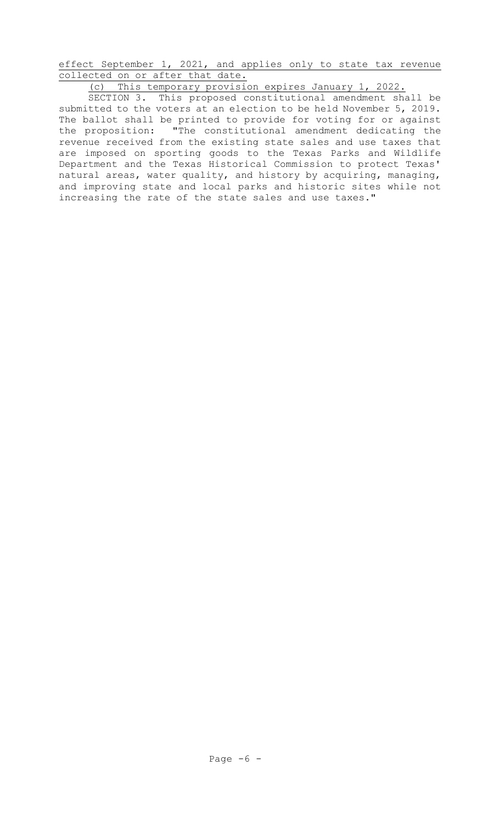effect September 1, 2021, and applies only to state tax revenue collected on or after that date.

(c) This temporary provision expires January 1, 2022.

SECTION 3. This proposed constitutional amendment shall be submitted to the voters at an election to be held November 5, 2019. The ballot shall be printed to provide for voting for or against the proposition: "The constitutional amendment dedicating the revenue received from the existing state sales and use taxes that are imposed on sporting goods to the Texas Parks and Wildlife Department and the Texas Historical Commission to protect Texas' natural areas, water quality, and history by acquiring, managing, and improving state and local parks and historic sites while not increasing the rate of the state sales and use taxes."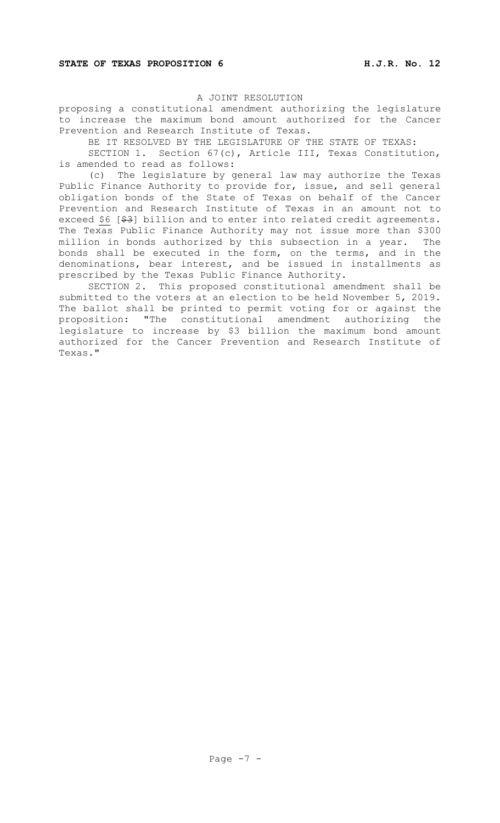proposing a constitutional amendment authorizing the legislature to increase the maximum bond amount authorized for the Cancer Prevention and Research Institute of Texas.

BE IT RESOLVED BY THE LEGISLATURE OF THE STATE OF TEXAS:

SECTION 1. Section 67(c), Article III, Texas Constitution, is amended to read as follows:

(c) The legislature by general law may authorize the Texas Public Finance Authority to provide for, issue, and sell general obligation bonds of the State of Texas on behalf of the Cancer Prevention and Research Institute of Texas in an amount not to exceed \$6 [\$3] billion and to enter into related credit agreements. The Texas Public Finance Authority may not issue more than \$300 million in bonds authorized by this subsection in a year. The bonds shall be executed in the form, on the terms, and in the denominations, bear interest, and be issued in installments as prescribed by the Texas Public Finance Authority.

SECTION 2. This proposed constitutional amendment shall be submitted to the voters at an election to be held November 5, 2019. The ballot shall be printed to permit voting for or against the proposition: "The constitutional amendment authorizing the legislature to increase by \$3 billion the maximum bond amount authorized for the Cancer Prevention and Research Institute of Texas."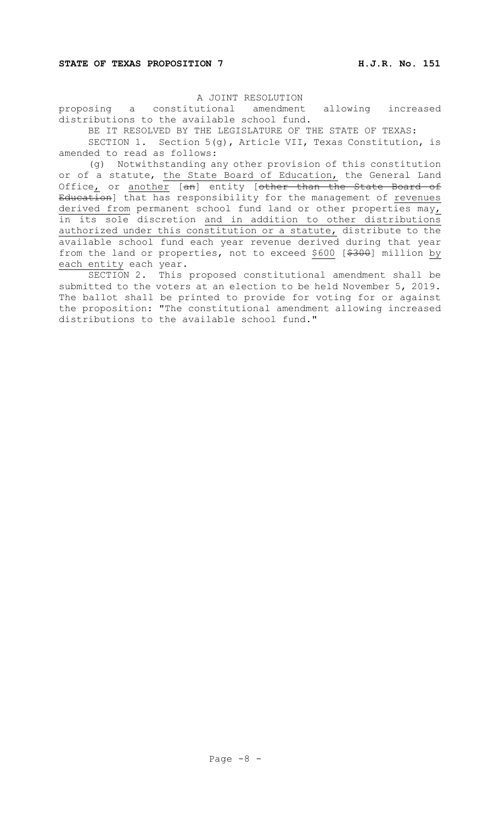proposing a constitutional amendment allowing increased distributions to the available school fund.

BE IT RESOLVED BY THE LEGISLATURE OF THE STATE OF TEXAS:

SECTION 1. Section 5(g), Article VII, Texas Constitution, is amended to read as follows:

(g) Notwithstanding any other provision of this constitution or of a statute, the State Board of Education, the General Land Office<u>,</u> or <u>another</u> [<del>an</del>] entity [<del>other than the State Board of</del> <del>Education</del>] that has responsibility for the management of <u>revenues</u> derived from permanent school fund land or other properties may, in its sole discretion and in addition to other distributions authorized under this constitution or a statute, distribute to the available school fund each year revenue derived during that year from the land or properties, not to exceed \$600 [\$300] million by each entity each year.

SECTION 2. This proposed constitutional amendment shall be submitted to the voters at an election to be held November 5, 2019. The ballot shall be printed to provide for voting for or against the proposition: "The constitutional amendment allowing increased distributions to the available school fund."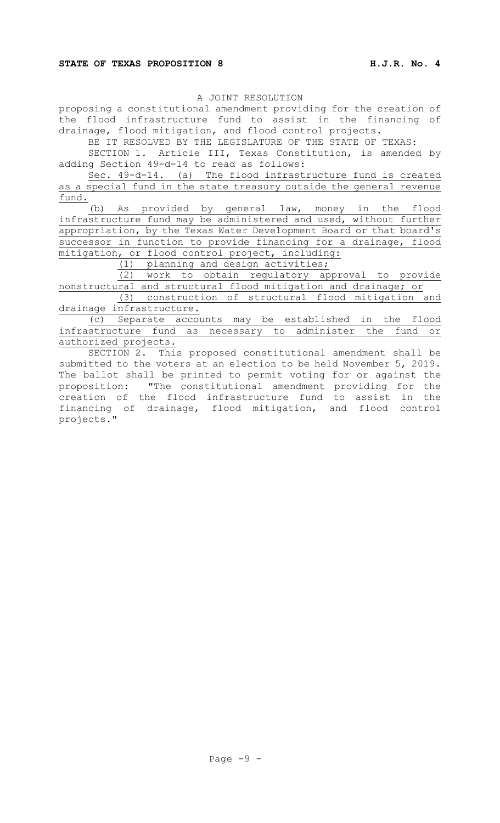proposing a constitutional amendment providing for the creation of the flood infrastructure fund to assist in the financing of drainage, flood mitigation, and flood control projects.

BE IT RESOLVED BY THE LEGISLATURE OF THE STATE OF TEXAS:

SECTION 1. Article III, Texas Constitution, is amended by adding Section 49-d-14 to read as follows:

Sec. 49-d-14. (a) The flood infrastructure fund is created as a special fund in the state treasury outside the general revenue fund.

(b) As provided by general law, money in the flood infrastructure fund may be administered and used, without further appropriation, by the Texas Water Development Board or that board's successor in function to provide financing for a drainage, flood mitigation, or flood control project, including:

(1) planning and design activities;

(2) work to obtain regulatory approval to provide nonstructural and structural flood mitigation and drainage; or

(3) construction of structural flood mitigation and drainage infrastructure.

(c) Separate accounts may be established in the flood infrastructure fund as necessary to administer the fund or authorized projects.

SECTION 2. This proposed constitutional amendment shall be submitted to the voters at an election to be held November 5, 2019. The ballot shall be printed to permit voting for or against the proposition: "The constitutional amendment providing for the creation of the flood infrastructure fund to assist in the financing of drainage, flood mitigation, and flood control projects."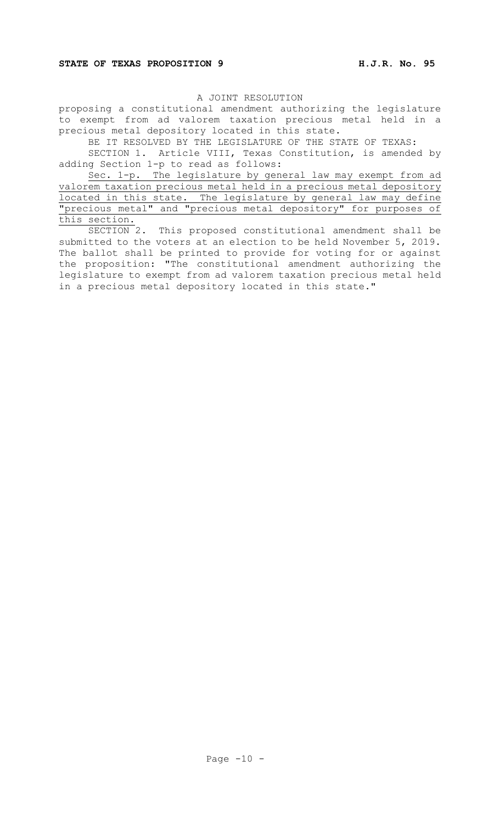proposing a constitutional amendment authorizing the legislature to exempt from ad valorem taxation precious metal held in a precious metal depository located in this state.

BE IT RESOLVED BY THE LEGISLATURE OF THE STATE OF TEXAS:

SECTION 1. Article VIII, Texas Constitution, is amended by adding Section 1-p to read as follows:

Sec. 1-p. The legislature by general law may exempt from ad valorem taxation precious metal held in a precious metal depository located in this state. The legislature by general law may define "precious metal" and "precious metal depository" for purposes of this section.<br>SECTION 2.

This proposed constitutional amendment shall be submitted to the voters at an election to be held November 5, 2019. The ballot shall be printed to provide for voting for or against the proposition: "The constitutional amendment authorizing the legislature to exempt from ad valorem taxation precious metal held in a precious metal depository located in this state."